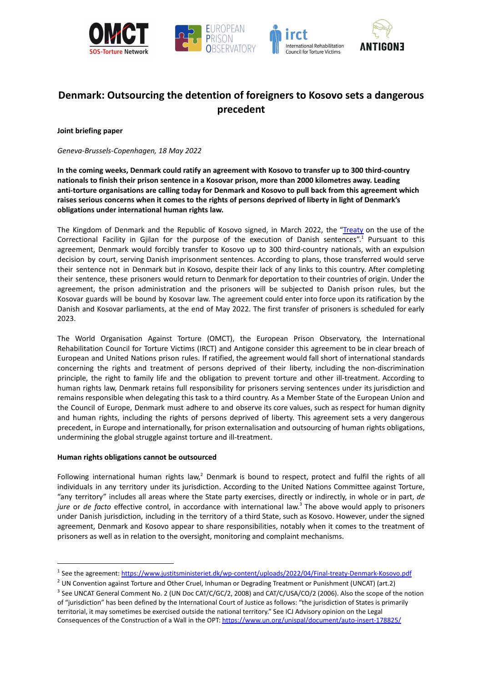

# **Denmark: Outsourcing the detention of foreigners to Kosovo sets a dangerous precedent**

#### **Joint briefing paper**

*Geneva-Brussels-Copenhagen, 18 May 2022*

**In the coming weeks, Denmark could ratify an agreement with Kosovo to transfer up to 300 third-country nationals to finish their prison sentence in a Kosovar prison, more than 2000 kilometres away. Leading anti-torture organisations are calling today for Denmark and Kosovo to pull back from this agreement which** raises serious concerns when it comes to the rights of persons deprived of liberty in light of Denmark's **obligations under international human rights law.**

The Kingdom of Denmark and the Republic of Kosovo signed, in March 2022, the ["Treaty](https://www.justitsministeriet.dk/wp-content/uploads/2022/04/Final-treaty-Denmark-Kosovo.pdf) on the use of the Correctional Facility in Gjilan for the purpose of the execution of Danish sentences".<sup>1</sup> Pursuant to this agreement, Denmark would forcibly transfer to Kosovo up to 300 third-country nationals, with an expulsion decision by court, serving Danish imprisonment sentences. According to plans, those transferred would serve their sentence not in Denmark but in Kosovo, despite their lack of any links to this country. After completing their sentence, these prisoners would return to Denmark for deportation to their countries of origin. Under the agreement, the prison administration and the prisoners will be subjected to Danish prison rules, but the Kosovar guards will be bound by Kosovar law. The agreement could enter into force upon its ratification by the Danish and Kosovar parliaments, at the end of May 2022. The first transfer of prisoners is scheduled for early 2023.

The World Organisation Against Torture (OMCT), the European Prison Observatory, the International Rehabilitation Council for Torture Victims (IRCT) and Antigone consider this agreement to be in clear breach of European and United Nations prison rules. If ratified, the agreement would fall short of international standards concerning the rights and treatment of persons deprived of their liberty, including the non-discrimination principle, the right to family life and the obligation to prevent torture and other ill-treatment. According to human rights law, Denmark retains full responsibility for prisoners serving sentences under its jurisdiction and remains responsible when delegating this task to a third country. As a Member State of the European Union and the Council of Europe, Denmark must adhere to and observe its core values, such as respect for human dignity and human rights, including the rights of persons deprived of liberty. This agreement sets a very dangerous precedent, in Europe and internationally, for prison externalisation and outsourcing of human rights obligations, undermining the global struggle against torture and ill-treatment.

# **Human rights obligations cannot be outsourced**

Following international human rights law,<sup>2</sup> Denmark is bound to respect, protect and fulfil the rights of all individuals in any territory under its jurisdiction. According to the United Nations Committee against Torture, "any territory" includes all areas where the State party exercises, directly or indirectly, in whole or in part, *de jure* or *de facto* effective control, in accordance with international law. <sup>3</sup> The above would apply to prisoners under Danish jurisdiction, including in the territory of a third State, such as Kosovo. However, under the signed agreement, Denmark and Kosovo appear to share responsibilities, notably when it comes to the treatment of prisoners as well as in relation to the oversight, monitoring and complaint mechanisms.

<sup>&</sup>lt;sup>1</sup> See the agreement: <https://www.justitsministeriet.dk/wp-content/uploads/2022/04/Final-treaty-Denmark-Kosovo.pdf>

<sup>&</sup>lt;sup>3</sup> See UNCAT General Comment No. 2 (UN Doc CAT/C/GC/2, 2008) and CAT/C/USA/CO/2 (2006). Also the scope of the notion of "jurisdiction" has been defined by the International Court of Justice as follows: "the jurisdiction of States is primarily territorial, it may sometimes be exercised outside the national territory." See ICJ Advisory opinion on the Legal Consequences of the Construction of a Wall in the OPT: <https://www.un.org/unispal/document/auto-insert-178825/> <sup>2</sup> UN Convention against Torture and Other Cruel, Inhuman or Degrading Treatment or Punishment (UNCAT) (art.2)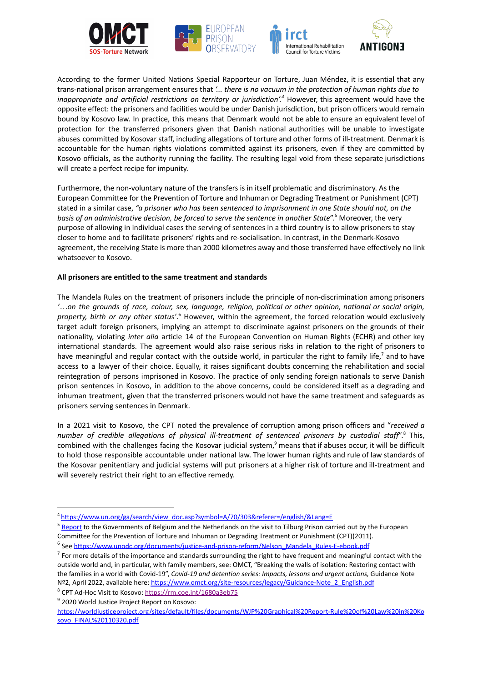







According to the former United Nations Special Rapporteur on Torture, Juan Méndez, it is essential that any trans-national prison arrangement ensures that *'... there is no vacuum in the protection of human rights due to inappropriate and artificial restrictions on territory or jurisdiction'. <sup>4</sup>* However, this agreement would have the opposite effect: the prisoners and facilities would be under Danish jurisdiction, but prison officers would remain bound by Kosovo law. In practice, this means that Denmark would not be able to ensure an equivalent level of protection for the transferred prisoners given that Danish national authorities will be unable to investigate abuses committed by Kosovar staff, including allegations of torture and other forms of ill-treatment. Denmark is accountable for the human rights violations committed against its prisoners, even if they are committed by Kosovo officials, as the authority running the facility. The resulting legal void from these separate jurisdictions will create a perfect recipe for impunity.

Furthermore, the non-voluntary nature of the transfers is in itself problematic and discriminatory. As the European Committee for the Prevention of Torture and Inhuman or Degrading Treatment or Punishment (CPT) stated in a similar case, *"a prisoner who has been sentenced to imprisonment in one State should not, on the basis of an administrative decision, be forced to serve the sentence in another State*". <sup>5</sup> Moreover, the very purpose of allowing in individual cases the serving of sentences in a third country is to allow prisoners to stay closer to home and to facilitate prisoners' rights and re-socialisation. In contrast, in the Denmark-Kosovo agreement, the receiving State is more than 2000 kilometres away and those transferred have effectively no link whatsoever to Kosovo.

## **All prisoners are entitled to the same treatment and standards**

The Mandela Rules on the treatment of prisoners include the principle of non-discrimination among prisoners '...on the grounds of race, colour, sex, language, religion, political or other opinion, national or social origin, property, birth or any other status'.<sup>6</sup> However, within the agreement, the forced relocation would exclusively target adult foreign prisoners, implying an attempt to discriminate against prisoners on the grounds of their nationality, violating *inter alia* article 14 of the European Convention on Human Rights (ECHR) and other key international standards. The agreement would also raise serious risks in relation to the right of prisoners to have meaningful and regular contact with the outside world, in particular the right to family life,<sup>7</sup> and to have access to a lawyer of their choice. Equally, it raises significant doubts concerning the rehabilitation and social reintegration of persons imprisoned in Kosovo. The practice of only sending foreign nationals to serve Danish prison sentences in Kosovo, in addition to the above concerns, could be considered itself as a degrading and inhuman treatment, given that the transferred prisoners would not have the same treatment and safeguards as prisoners serving sentences in Denmark.

In a 2021 visit to Kosovo, the CPT noted the prevalence of corruption among prison officers and "*received a number of credible allegations of physical ill-treatment of sentenced prisoners by custodial staff*". <sup>8</sup> This, combined with the challenges facing the Kosovar judicial system,<sup>9</sup> means that if abuses occur, it will be difficult to hold those responsible accountable under national law. The lower human rights and rule of law standards of the Kosovar penitentiary and judicial systems will put prisoners at a higher risk of torture and ill-treatment and will severely restrict their right to an effective remedy.

<sup>8</sup> CPT Ad-Hoc Visit to Kosovo: <https://rm.coe.int/1680a3eb75>

<sup>&</sup>lt;sup>4</sup> [https://www.un.org/ga/search/view\\_doc.asp?symbol=A/70/303&referer=/english/&Lang=E](https://www.un.org/ga/search/view_doc.asp?symbol=A/70/303&referer=/english/&Lang=E)

<sup>6</sup> See [https://www.unodc.org/documents/justice-and-prison-reform/Nelson\\_Mandela\\_Rules-E-ebook.pdf](https://www.unodc.org/documents/justice-and-prison-reform/Nelson_Mandela_Rules-E-ebook.pdf) <sup>5</sup> [Report](https://rm.coe.int/CoERMPublicCommonSearchServices/DisplayDCTMContent?documentId=0900001680697812) to the Governments of Belgium and the Netherlands on the visit to Tilburg Prison carried out by the European Committee for the Prevention of Torture and Inhuman or Degrading Treatment or Punishment (CPT)(2011).

 $7$  For more details of the importance and standards surrounding the right to have frequent and meaningful contact with the

outside world and, in particular, with family members, see: OMCT, "Breaking the walls of isolation: Restoring contact with the families in a world with Covid-19", *Covid-19 and detention series: Impacts, lessons and urgent actions,* Guidance Note Nº2, April 2022, available here: [https://www.omct.org/site-resources/legacy/Guidance-Note\\_2\\_English.pdf](https://www.omct.org/site-resources/legacy/Guidance-Note_2_English.pdf)

<sup>&</sup>lt;sup>9</sup> 2020 World Justice Project Report on Kosovo:

[https://worldjusticeproject.org/sites/default/files/documents/WJP%20Graphical%20Report-Rule%20of%20Law%20in%20Ko](https://worldjusticeproject.org/sites/default/files/documents/WJP%20Graphical%20Report-Rule%20of%20Law%20in%20Kosovo_FINAL%20110320.pdf) [sovo\\_FINAL%20110320.pdf](https://worldjusticeproject.org/sites/default/files/documents/WJP%20Graphical%20Report-Rule%20of%20Law%20in%20Kosovo_FINAL%20110320.pdf)